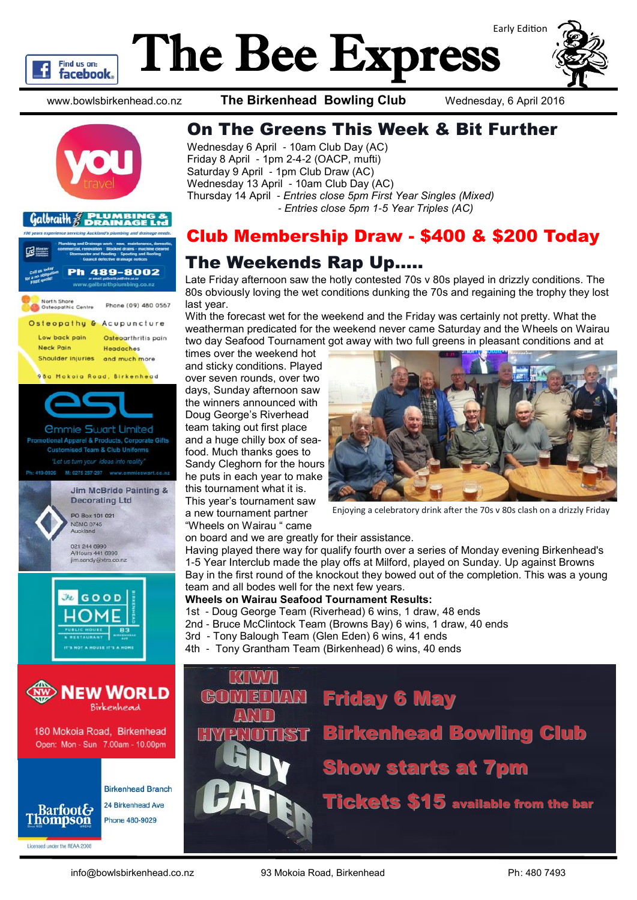# The Bee Express



www.bowlsbirkenhead.co.nz **The Birkenhead Bowling Club** Wednesday, 6 April 2016



Find us on: **facebook** 



## On The Greens This Week & Bit Further

Wednesday 6 April - 10am Club Day (AC) Friday 8 April - 1pm 2-4-2 (OACP, mufti) Saturday 9 April - 1pm Club Draw (AC) Wednesday 13 April - 10am Club Day (AC) Thursday 14 April - *Entries close 5pm First Year Singles (Mixed) - Entries close 5pm 1-5 Year Triples (AC)*

## Club Membership Draw - \$400 & \$200 Today

## The Weekends Rap Up…..

Late Friday afternoon saw the hotly contested 70s v 80s played in drizzly conditions. The 80s obviously loving the wet conditions dunking the 70s and regaining the trophy they lost last year.

With the forecast wet for the weekend and the Friday was certainly not pretty. What the weatherman predicated for the weekend never came Saturday and the Wheels on Wairau two day Seafood Tournament got away with two full greens in pleasant conditions and at

times over the weekend hot and sticky conditions. Played over seven rounds, over two days, Sunday afternoon saw the winners announced with Doug George's Riverhead team taking out first place and a huge chilly box of seafood. Much thanks goes to Sandy Cleghorn for the hours he puts in each year to make this tournament what it is. This year's tournament saw a new tournament partner "Wheels on Wairau " came



Enjoying a celebratory drink after the 70s v 80s clash on a drizzly Friday

on board and we are greatly for their assistance.

Having played there way for qualify fourth over a series of Monday evening Birkenhead's 1-5 Year Interclub made the play offs at Milford, played on Sunday. Up against Browns Bay in the first round of the knockout they bowed out of the completion. This was a young team and all bodes well for the next few years.

#### **Wheels on Wairau Seafood Tournament Results:**

- 1st Doug George Team (Riverhead) 6 wins, 1 draw, 48 ends
- 2nd Bruce McClintock Team (Browns Bay) 6 wins, 1 draw, 40 ends
- 3rd Tony Balough Team (Glen Eden) 6 wins, 41 ends
- 4th Tony Grantham Team (Birkenhead) 6 wins, 40 ends



Licensed under the REAA 2008